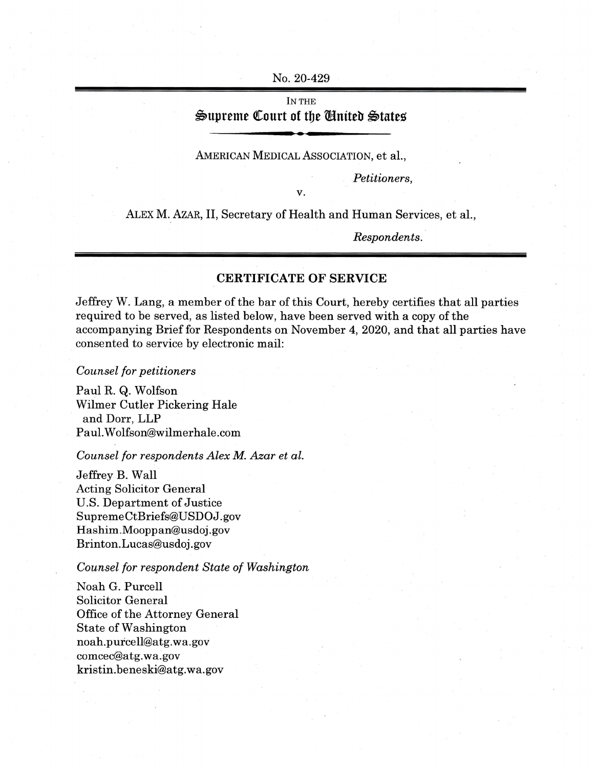No. 20-429

## IN THE **Supreme Court of tlje Entteb States**

## AMERICAN MEDICAL ASSOCIATION, et al.,

*Petitioners,*

V.

ALEX M. AZAR, II, Secretary of Health and Human Services, et al.,

*Respondents.*

## **CERTIFICATE OF SERVICE**

Jeffrey W. Lang, a member of the bar of this Court, hereby certifies that all parties required to be served, as listed below, have been served with a copy of the accompanying Brief for Respondents on November 4, 2020, and that all parties have consented to service by electronic mail:

*Counsel for petitioners*

Paul R. Q. Wolfson Wilmer Cutler Pickering Hale and Dorr, LLP [Paul.Wolfson@wilmerhale.com](mailto:Paul.Wolfson@wilmerhale.com)

*Counsel for respondents Alex M. Azar et al.*

Jeffrey B. Wall Acting Solicitor General U.S. Department of Justice [SupremeCtBriefs@USDOJ.gov](mailto:SupremeCtBriefs@USDOJ.gov) [Hashim.Mooppan@usdoj.gov](mailto:Hashim.Mooppan@usdoj.gov) Brinton.Lucas@usdoj. gov

*Counsel for respondent State of Washington*

Noah G. Purcell Solicitor General Office of the Attorney General State of Washington [noah.purcell@atg.wa.gov](mailto:noah.purcell@atg.wa.gov) [comcec@atg.wa.gov](mailto:comcec@atg.wa.gov) [kristin.beneski@atg.wa.gov](mailto:kristin.beneski@atg.wa.gov)